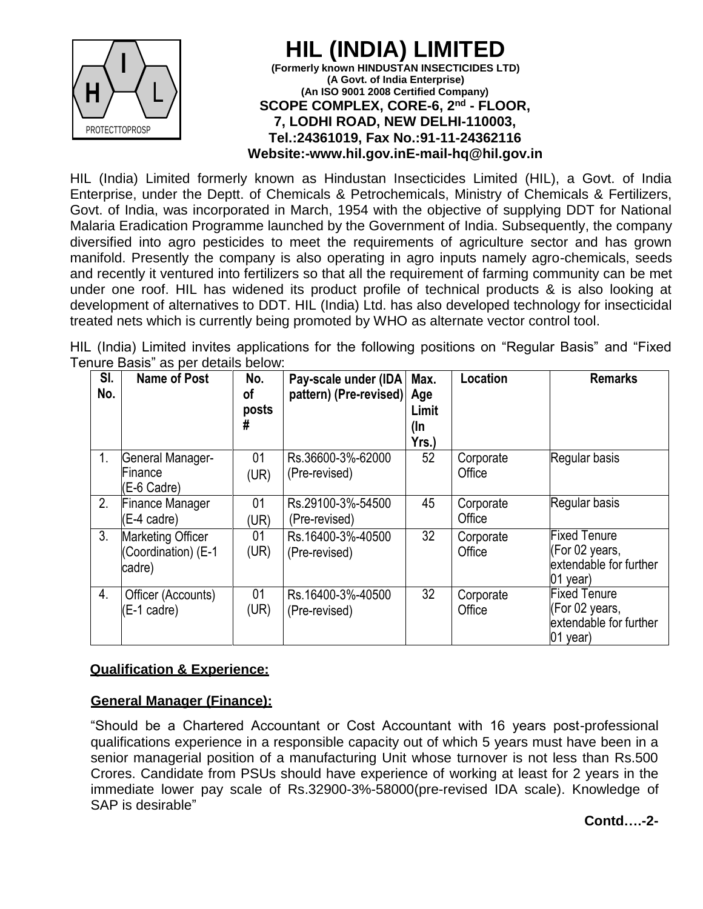

### **HIL (INDIA) LIM (Formerly known HINDUSTAN INSECTICIDES LTD) (A Govt. of India Enterprise) (An ISO 9001 2008 Certified Company) SCOPE COMPLEX, CORE-6, 2nd - FLOOR, 7, LODHI ROAD, NEW DELHI-110003, Tel.:24361019, Fax No.:91-11-24362116 Website:[-www.hil.gov.inE](http://www.hil.gov.in/)-mail[-hq@hil.gov.in](mailto:hq@hil.gov.in)**

HIL (India) Limited formerly known as Hindustan Insecticides Limited (HIL), a Govt. of India Enterprise, under the Deptt. of Chemicals & Petrochemicals, Ministry of Chemicals & Fertilizers, Govt. of India, was incorporated in March, 1954 with the objective of supplying DDT for National Malaria Eradication Programme launched by the Government of India. Subsequently, the company diversified into agro pesticides to meet the requirements of agriculture sector and has grown manifold. Presently the company is also operating in agro inputs namely agro-chemicals, seeds and recently it ventured into fertilizers so that all the requirement of farming community can be met under one roof. HIL has widened its product profile of technical products & is also looking at development of alternatives to DDT. HIL (India) Ltd. has also developed technology for insecticidal treated nets which is currently being promoted by WHO as alternate vector control tool.

HIL (India) Limited invites applications for the following positions on "Regular Basis" and "Fixed Tenure Basis" as per details below:

| SI.<br>No. | <b>Name of Post</b>                                       | No.<br>οf<br>posts<br># | Pay-scale under (IDA)<br>pattern) (Pre-revised) | Max.<br>Age<br>Limit<br>(In<br>Yrs.) | Location            | <b>Remarks</b>                                                                |
|------------|-----------------------------------------------------------|-------------------------|-------------------------------------------------|--------------------------------------|---------------------|-------------------------------------------------------------------------------|
| 1.         | General Manager-<br>Finance<br>(E-6 Cadre)                | 01<br>(UR)              | Rs.36600-3%-62000<br>(Pre-revised)              | 52                                   | Corporate<br>Office | Regular basis                                                                 |
| 2.         | <b>Finance Manager</b><br>(E-4 cadre)                     | 01<br>(UR)              | Rs.29100-3%-54500<br>(Pre-revised)              | 45                                   | Corporate<br>Office | Regular basis                                                                 |
| 3.         | <b>Marketing Officer</b><br>(Coordination) (E-1<br>cadre) | 01<br>(UR)              | Rs.16400-3%-40500<br>(Pre-revised)              | 32                                   | Corporate<br>Office | <b>Fixed Tenure</b><br>(For 02 years,<br>extendable for further<br>01 year)   |
| 4.         | Officer (Accounts)<br>(E-1 cadre)                         | 01<br>(UR)              | Rs.16400-3%-40500<br>(Pre-revised)              | 32                                   | Corporate<br>Office | <b>Fixed Tenure</b><br>(For 02 years,<br>extendable for further<br>$01$ year) |

# **Qualification & Experience:**

# **General Manager (Finance):**

"Should be a Chartered Accountant or Cost Accountant with 16 years post-professional qualifications experience in a responsible capacity out of which 5 years must have been in a senior managerial position of a manufacturing Unit whose turnover is not less than Rs.500 Crores. Candidate from PSUs should have experience of working at least for 2 years in the immediate lower pay scale of Rs.32900-3%-58000(pre-revised IDA scale). Knowledge of SAP is desirable"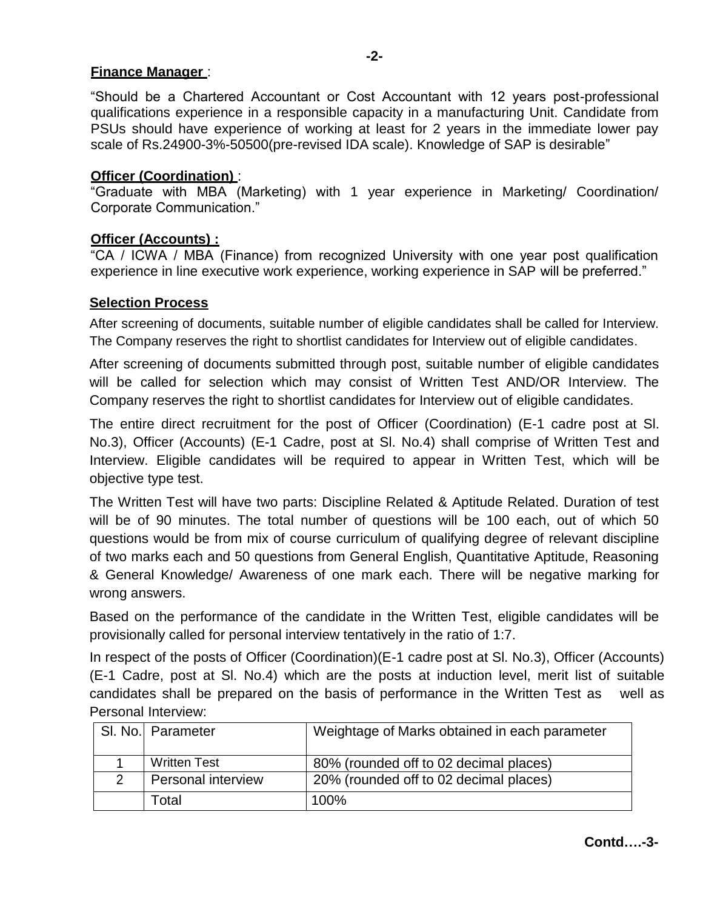# **Finance Manager** :

"Should be a Chartered Accountant or Cost Accountant with 12 years post-professional qualifications experience in a responsible capacity in a manufacturing Unit. Candidate from PSUs should have experience of working at least for 2 years in the immediate lower pay scale of Rs.24900-3%-50500(pre-revised IDA scale). Knowledge of SAP is desirable"

# **Officer (Coordination)** :

"Graduate with MBA (Marketing) with 1 year experience in Marketing/ Coordination/ Corporate Communication."

# **Officer (Accounts) :**

"CA / ICWA / MBA (Finance) from recognized University with one year post qualification experience in line executive work experience, working experience in SAP will be preferred."

# **Selection Process**

After screening of documents, suitable number of eligible candidates shall be called for Interview. The Company reserves the right to shortlist candidates for Interview out of eligible candidates.

After screening of documents submitted through post, suitable number of eligible candidates will be called for selection which may consist of Written Test AND/OR Interview. The Company reserves the right to shortlist candidates for Interview out of eligible candidates.

The entire direct recruitment for the post of Officer (Coordination) (E-1 cadre post at Sl. No.3), Officer (Accounts) (E-1 Cadre, post at Sl. No.4) shall comprise of Written Test and Interview. Eligible candidates will be required to appear in Written Test, which will be objective type test.

The Written Test will have two parts: Discipline Related & Aptitude Related. Duration of test will be of 90 minutes. The total number of questions will be 100 each, out of which 50 questions would be from mix of course curriculum of qualifying degree of relevant discipline of two marks each and 50 questions from General English, Quantitative Aptitude, Reasoning & General Knowledge/ Awareness of one mark each. There will be negative marking for wrong answers.

Based on the performance of the candidate in the Written Test, eligible candidates will be provisionally called for personal interview tentatively in the ratio of 1:7.

In respect of the posts of Officer (Coordination)(E-1 cadre post at Sl. No.3), Officer (Accounts) (E-1 Cadre, post at Sl. No.4) which are the posts at induction level, merit list of suitable candidates shall be prepared on the basis of performance in the Written Test as well as Personal Interview:

| SI. No. Parameter         | Weightage of Marks obtained in each parameter |
|---------------------------|-----------------------------------------------|
| <b>Written Test</b>       | 80% (rounded off to 02 decimal places)        |
| <b>Personal interview</b> | 20% (rounded off to 02 decimal places)        |
| Total                     | 100%                                          |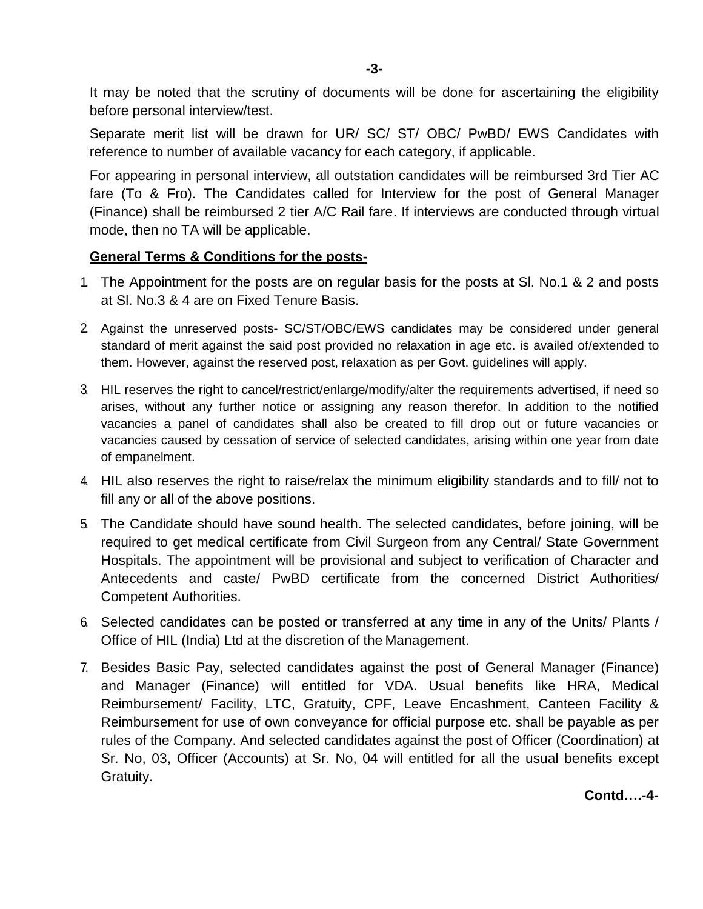It may be noted that the scrutiny of documents will be done for ascertaining the eligibility before personal interview/test.

Separate merit list will be drawn for UR/ SC/ ST/ OBC/ PwBD/ EWS Candidates with reference to number of available vacancy for each category, if applicable.

For appearing in personal interview, all outstation candidates will be reimbursed 3rd Tier AC fare (To & Fro). The Candidates called for Interview for the post of General Manager (Finance) shall be reimbursed 2 tier A/C Rail fare. If interviews are conducted through virtual mode, then no TA will be applicable.

#### **General Terms & Conditions for the posts-**

- 1. The Appointment for the posts are on regular basis for the posts at Sl. No.1 & 2 and posts at Sl. No.3 & 4 are on Fixed Tenure Basis.
- 2. Against the unreserved posts- SC/ST/OBC/EWS candidates may be considered under general standard of merit against the said post provided no relaxation in age etc. is availed of/extended to them. However, against the reserved post, relaxation as per Govt. guidelines will apply.
- 3. HIL reserves the right to cancel/restrict/enlarge/modify/alter the requirements advertised, if need so arises, without any further notice or assigning any reason therefor. In addition to the notified vacancies a panel of candidates shall also be created to fill drop out or future vacancies or vacancies caused by cessation of service of selected candidates, arising within one year from date of empanelment.
- 4. HIL also reserves the right to raise/relax the minimum eligibility standards and to fill/ not to fill any or all of the above positions.
- 5. The Candidate should have sound health. The selected candidates, before joining, will be required to get medical certificate from Civil Surgeon from any Central/ State Government Hospitals. The appointment will be provisional and subject to verification of Character and Antecedents and caste/ PwBD certificate from the concerned District Authorities/ Competent Authorities.
- 6. Selected candidates can be posted or transferred at any time in any of the Units/ Plants / Office of HIL (India) Ltd at the discretion of the Management.
- 7. Besides Basic Pay, selected candidates against the post of General Manager (Finance) and Manager (Finance) will entitled for VDA. Usual benefits like HRA, Medical Reimbursement/ Facility, LTC, Gratuity, CPF, Leave Encashment, Canteen Facility & Reimbursement for use of own conveyance for official purpose etc. shall be payable as per rules of the Company. And selected candidates against the post of Officer (Coordination) at Sr. No, 03, Officer (Accounts) at Sr. No, 04 will entitled for all the usual benefits except Gratuity.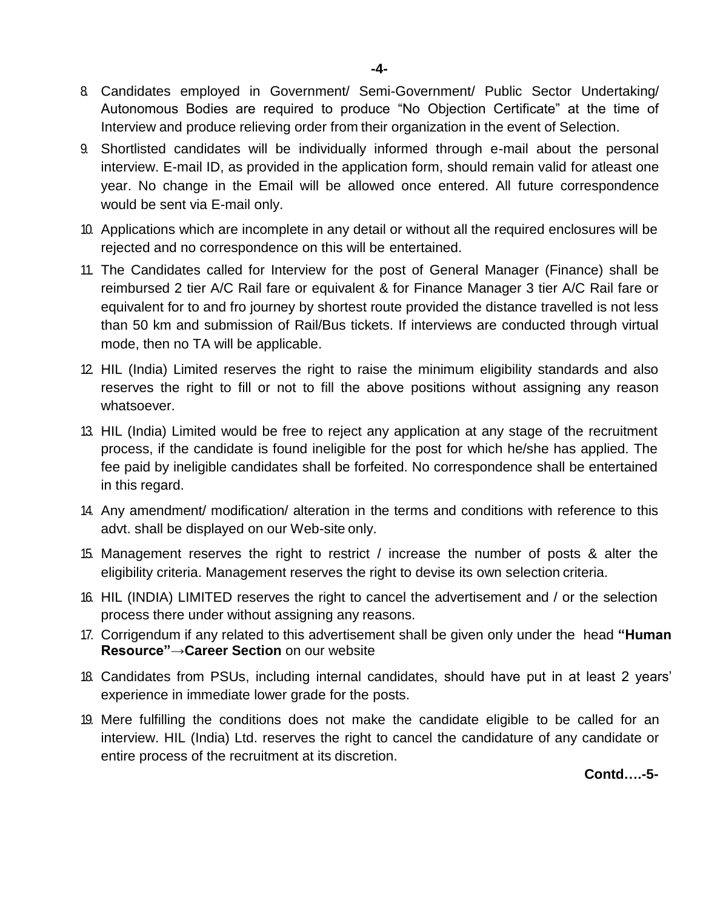- 8. Candidates employed in Government/ Semi-Government/ Public Sector Undertaking/ Autonomous Bodies are required to produce "No Objection Certificate" at the time of Interview and produce relieving order from their organization in the event of Selection.
- 9. Shortlisted candidates will be individually informed through e-mail about the personal interview. E-mail ID, as provided in the application form, should remain valid for atleast one year. No change in the Email will be allowed once entered. All future correspondence would be sent via E-mail only.
- 10. Applications which are incomplete in any detail or without all the required enclosures will be rejected and no correspondence on this will be entertained.
- 11. The Candidates called for Interview for the post of General Manager (Finance) shall be reimbursed 2 tier A/C Rail fare or equivalent & for Finance Manager 3 tier A/C Rail fare or equivalent for to and fro journey by shortest route provided the distance travelled is not less than 50 km and submission of Rail/Bus tickets. If interviews are conducted through virtual mode, then no TA will be applicable.
- 12. HIL (India) Limited reserves the right to raise the minimum eligibility standards and also reserves the right to fill or not to fill the above positions without assigning any reason whatsoever.
- 13. HIL (India) Limited would be free to reject any application at any stage of the recruitment process, if the candidate is found ineligible for the post for which he/she has applied. The fee paid by ineligible candidates shall be forfeited. No correspondence shall be entertained in this regard.
- 14. Any amendment/ modification/ alteration in the terms and conditions with reference to this advt. shall be displayed on our Web-site only.
- 15. Management reserves the right to restrict / increase the number of posts & alter the eligibility criteria. Management reserves the right to devise its own selection criteria.
- 16. HIL (INDIA) LIMITED reserves the right to cancel the advertisement and / or the selection process there under without assigning any reasons.
- 17. Corrigendum if any related to this advertisement shall be given only under the head **"Human Resource"→Career Section** on our website
- 18. Candidates from PSUs, including internal candidates, should have put in at least 2 years' experience in immediate lower grade for the posts.
- 19. Mere fulfilling the conditions does not make the candidate eligible to be called for an interview. HIL (India) Ltd. reserves the right to cancel the candidature of any candidate or entire process of the recruitment at its discretion.

**Contd….-5-**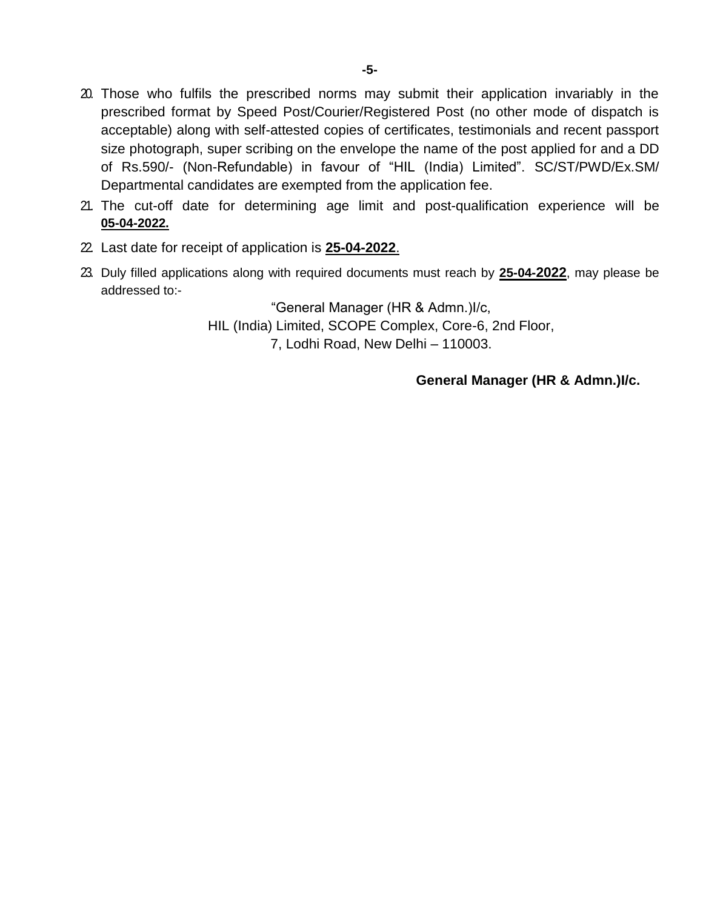- 20. Those who fulfils the prescribed norms may submit their application invariably in the prescribed format by Speed Post/Courier/Registered Post (no other mode of dispatch is acceptable) along with self-attested copies of certificates, testimonials and recent passport size photograph, super scribing on the envelope the name of the post applied for and a DD of Rs.590/- (Non-Refundable) in favour of "HIL (India) Limited". SC/ST/PWD/Ex.SM/ Departmental candidates are exempted from the application fee.
- 21. The cut-off date for determining age limit and post-qualification experience will be **05-04-2022.**
- 22. Last date for receipt of application is **25-04-2022**.
- 23. Duly filled applications along with required documents must reach by **25-04-2022**, may please be addressed to:-

"General Manager (HR & Admn.)I/c, HIL (India) Limited, SCOPE Complex, Core-6, 2nd Floor, 7, Lodhi Road, New Delhi – 110003.

### **General Manager (HR & Admn.)I/c.**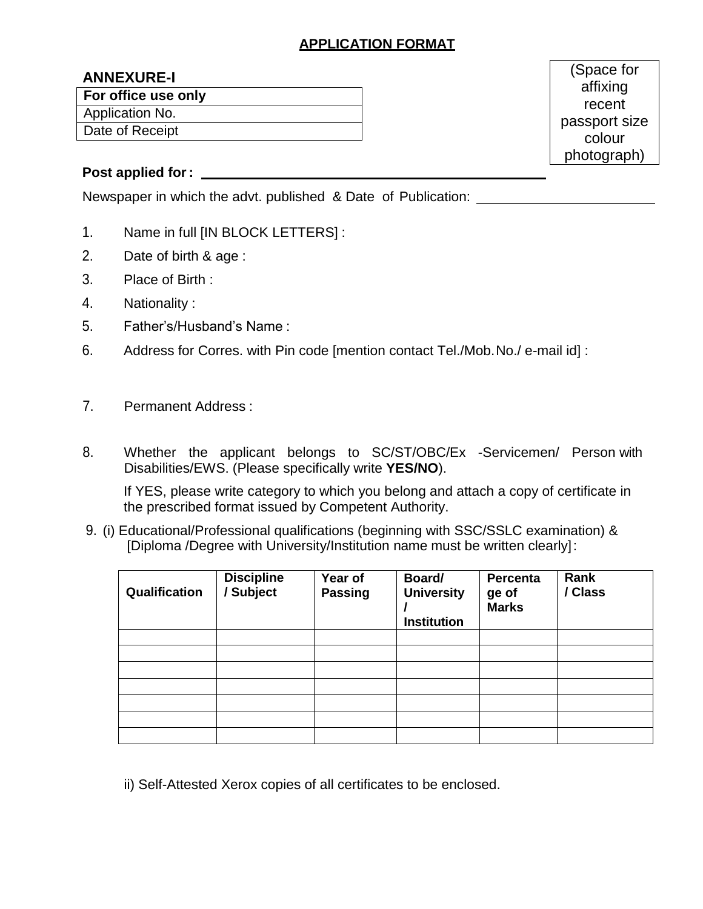# **APPLICATION FORMAT**

### **ANNEXURE-I**

**For office use only**

Application No.

Date of Receipt

(Space for affixing recent passport size colour photograph)

### **Post applied for:**

Newspaper in which the advt. published & Date of Publication:

- 1. Name in full [IN BLOCK LETTERS] :
- 2. Date of birth & age :
- 3. Place of Birth :
- 4. Nationality :
- 5. Father's/Husband's Name :
- 6. Address for Corres. with Pin code [mention contact Tel./Mob.No./ e-mail id] :
- 7. Permanent Address :
- 8. Whether the applicant belongs to SC/ST/OBC/Ex -Servicemen/ Person with Disabilities/EWS. (Please specifically write **YES/NO**).

If YES, please write category to which you belong and attach a copy of certificate in the prescribed format issued by Competent Authority.

9. (i) Educational/Professional qualifications (beginning with SSC/SSLC examination) & [Diploma /Degree with University/Institution name must be written clearly]:

| Qualification | <b>Discipline</b><br>Subject | Year of<br><b>Passing</b> | Board/<br><b>University</b><br><b>Institution</b> | Percenta<br>ge of<br><b>Marks</b> | Rank<br>/ Class |
|---------------|------------------------------|---------------------------|---------------------------------------------------|-----------------------------------|-----------------|
|               |                              |                           |                                                   |                                   |                 |
|               |                              |                           |                                                   |                                   |                 |
|               |                              |                           |                                                   |                                   |                 |
|               |                              |                           |                                                   |                                   |                 |
|               |                              |                           |                                                   |                                   |                 |
|               |                              |                           |                                                   |                                   |                 |
|               |                              |                           |                                                   |                                   |                 |

ii) Self-Attested Xerox copies of all certificates to be enclosed.